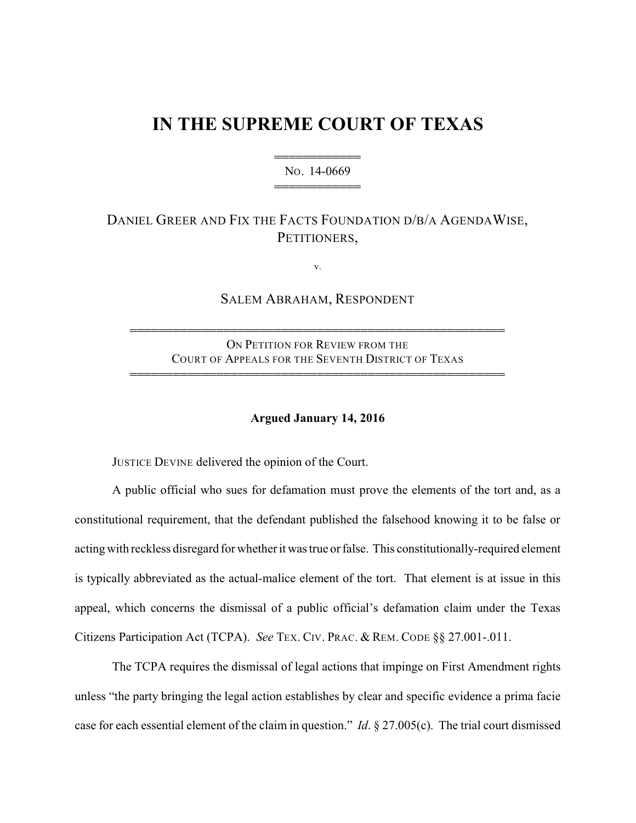## **IN THE SUPREME COURT OF TEXAS**

444444444444 NO. 14-0669 444444444444

## DANIEL GREER AND FIX THE FACTS FOUNDATION D/B/A AGENDAWISE, PETITIONERS,

v.

SALEM ABRAHAM, RESPONDENT

ON PETITION FOR REVIEW FROM THE COURT OF APPEALS FOR THE SEVENTH DISTRICT OF TEXAS 4444444444444444444444444444444444444444444444444444

4444444444444444444444444444444444444444444444444444

## **Argued January 14, 2016**

JUSTICE DEVINE delivered the opinion of the Court.

A public official who sues for defamation must prove the elements of the tort and, as a constitutional requirement, that the defendant published the falsehood knowing it to be false or acting with reckless disregard for whether it was true or false. This constitutionally-required element is typically abbreviated as the actual-malice element of the tort. That element is at issue in this appeal, which concerns the dismissal of a public official's defamation claim under the Texas Citizens Participation Act (TCPA). *See* TEX. CIV. PRAC. & REM. CODE §§ 27.001-.011.

The TCPA requires the dismissal of legal actions that impinge on First Amendment rights unless "the party bringing the legal action establishes by clear and specific evidence a prima facie case for each essential element of the claim in question." *Id*. § 27.005(c). The trial court dismissed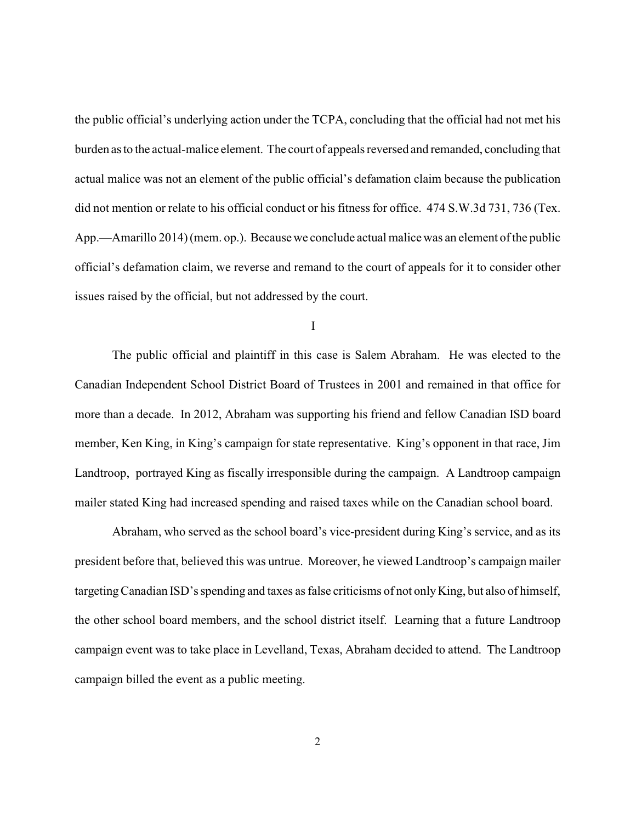the public official's underlying action under the TCPA, concluding that the official had not met his burden as to the actual-malice element. The court of appeals reversed and remanded, concluding that actual malice was not an element of the public official's defamation claim because the publication did not mention or relate to his official conduct or his fitness for office. 474 S.W.3d 731, 736 (Tex. App.—Amarillo 2014) (mem. op.). Because we conclude actual malice was an element of the public official's defamation claim, we reverse and remand to the court of appeals for it to consider other issues raised by the official, but not addressed by the court.

I

The public official and plaintiff in this case is Salem Abraham. He was elected to the Canadian Independent School District Board of Trustees in 2001 and remained in that office for more than a decade. In 2012, Abraham was supporting his friend and fellow Canadian ISD board member, Ken King, in King's campaign for state representative. King's opponent in that race, Jim Landtroop, portrayed King as fiscally irresponsible during the campaign. A Landtroop campaign mailer stated King had increased spending and raised taxes while on the Canadian school board.

Abraham, who served as the school board's vice-president during King's service, and as its president before that, believed this was untrue. Moreover, he viewed Landtroop's campaign mailer targetingCanadian ISD's spending and taxes as false criticisms of not onlyKing, but also of himself, the other school board members, and the school district itself. Learning that a future Landtroop campaign event was to take place in Levelland, Texas, Abraham decided to attend. The Landtroop campaign billed the event as a public meeting.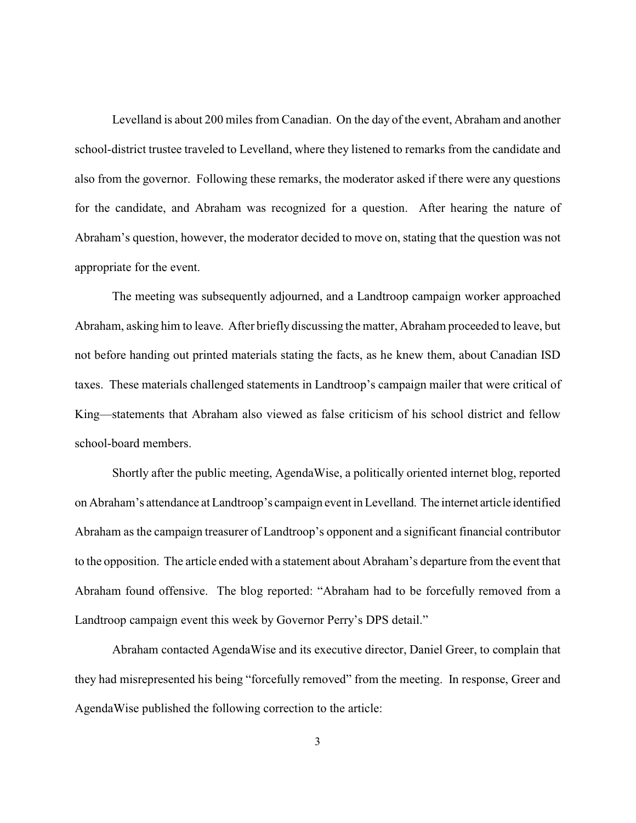Levelland is about 200 miles from Canadian. On the day of the event, Abraham and another school-district trustee traveled to Levelland, where they listened to remarks from the candidate and also from the governor. Following these remarks, the moderator asked if there were any questions for the candidate, and Abraham was recognized for a question. After hearing the nature of Abraham's question, however, the moderator decided to move on, stating that the question was not appropriate for the event.

The meeting was subsequently adjourned, and a Landtroop campaign worker approached Abraham, asking him to leave. After briefly discussing the matter, Abraham proceeded to leave, but not before handing out printed materials stating the facts, as he knew them, about Canadian ISD taxes. These materials challenged statements in Landtroop's campaign mailer that were critical of King—statements that Abraham also viewed as false criticism of his school district and fellow school-board members.

Shortly after the public meeting, AgendaWise, a politically oriented internet blog, reported on Abraham's attendance at Landtroop's campaign event in Levelland. The internet article identified Abraham as the campaign treasurer of Landtroop's opponent and a significant financial contributor to the opposition. The article ended with a statement about Abraham's departure from the event that Abraham found offensive. The blog reported: "Abraham had to be forcefully removed from a Landtroop campaign event this week by Governor Perry's DPS detail."

Abraham contacted AgendaWise and its executive director, Daniel Greer, to complain that they had misrepresented his being "forcefully removed" from the meeting. In response, Greer and AgendaWise published the following correction to the article: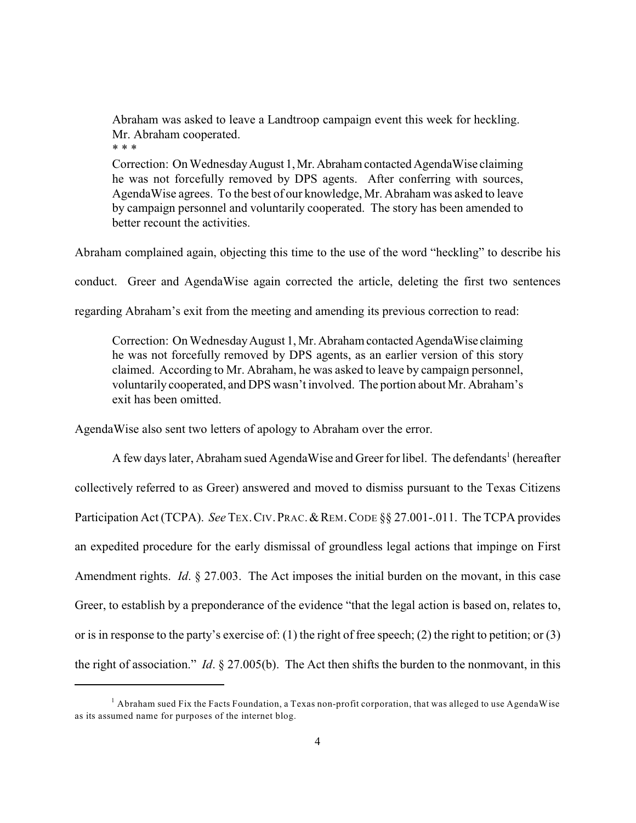Abraham was asked to leave a Landtroop campaign event this week for heckling. Mr. Abraham cooperated. \* \* \*

Correction: On Wednesday August 1, Mr. Abraham contacted Agenda Wise claiming he was not forcefully removed by DPS agents. After conferring with sources, AgendaWise agrees. To the best of our knowledge, Mr. Abraham was asked to leave by campaign personnel and voluntarily cooperated. The story has been amended to better recount the activities.

Abraham complained again, objecting this time to the use of the word "heckling" to describe his

conduct. Greer and AgendaWise again corrected the article, deleting the first two sentences

regarding Abraham's exit from the meeting and amending its previous correction to read:

Correction: On Wednesday August 1, Mr. Abraham contacted Agenda Wise claiming he was not forcefully removed by DPS agents, as an earlier version of this story claimed. According to Mr. Abraham, he was asked to leave by campaign personnel, voluntarily cooperated, and DPS wasn't involved. The portion about Mr. Abraham's exit has been omitted.

AgendaWise also sent two letters of apology to Abraham over the error.

A few days later, Abraham sued AgendaWise and Greer for libel. The defendants<sup>1</sup> (hereafter collectively referred to as Greer) answered and moved to dismiss pursuant to the Texas Citizens Participation Act (TCPA). *See* TEX. CIV. PRAC. & REM. CODE §§ 27.001-.011. The TCPA provides an expedited procedure for the early dismissal of groundless legal actions that impinge on First Amendment rights. *Id*. § 27.003. The Act imposes the initial burden on the movant, in this case Greer, to establish by a preponderance of the evidence "that the legal action is based on, relates to, or is in response to the party's exercise of: (1) the right of free speech; (2) the right to petition; or (3) the right of association." *Id*. § 27.005(b). The Act then shifts the burden to the nonmovant, in this

<sup>&</sup>lt;sup>1</sup> Abraham sued Fix the Facts Foundation, a Texas non-profit corporation, that was alleged to use AgendaWise as its assumed name for purposes of the internet blog.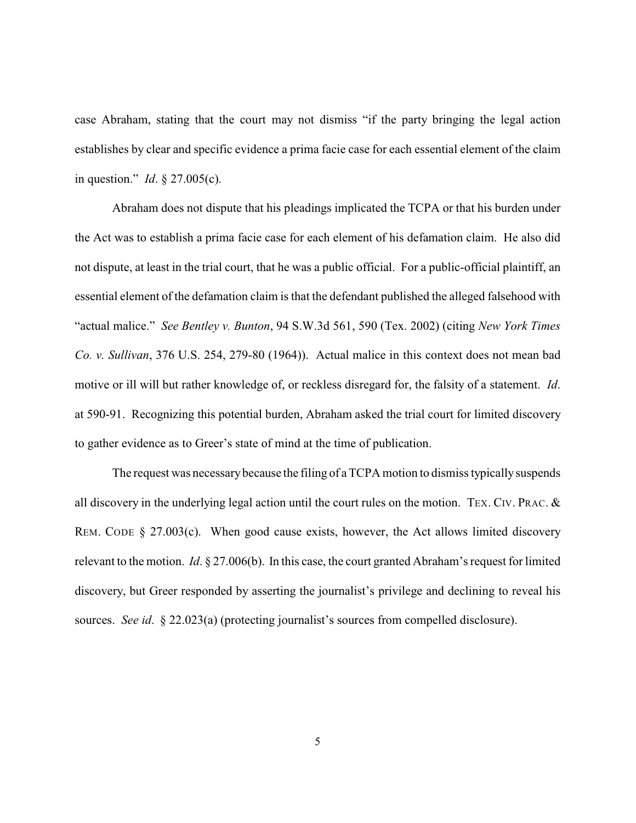case Abraham, stating that the court may not dismiss "if the party bringing the legal action establishes by clear and specific evidence a prima facie case for each essential element of the claim in question." *Id*. § 27.005(c).

Abraham does not dispute that his pleadings implicated the TCPA or that his burden under the Act was to establish a prima facie case for each element of his defamation claim. He also did not dispute, at least in the trial court, that he was a public official. For a public-official plaintiff, an essential element of the defamation claim is that the defendant published the alleged falsehood with "actual malice." *See Bentley v. Bunton*, 94 S.W.3d 561, 590 (Tex. 2002) (citing *New York Times Co. v. Sullivan*, 376 U.S. 254, 279-80 (1964)). Actual malice in this context does not mean bad motive or ill will but rather knowledge of, or reckless disregard for, the falsity of a statement. *Id*. at 590-91. Recognizing this potential burden, Abraham asked the trial court for limited discovery to gather evidence as to Greer's state of mind at the time of publication.

The request was necessary because the filing of a TCPA motion to dismiss typically suspends all discovery in the underlying legal action until the court rules on the motion. TEX. CIV. PRAC. & REM. CODE § 27.003(c). When good cause exists, however, the Act allows limited discovery relevant to the motion. *Id*. § 27.006(b). In this case, the court granted Abraham's request for limited discovery, but Greer responded by asserting the journalist's privilege and declining to reveal his sources. *See id*. § 22.023(a) (protecting journalist's sources from compelled disclosure).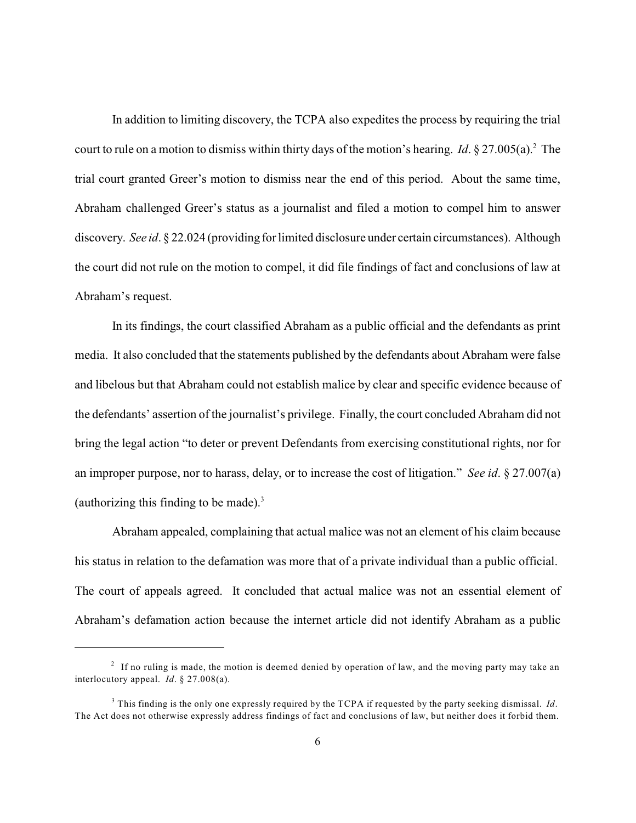In addition to limiting discovery, the TCPA also expedites the process by requiring the trial court to rule on a motion to dismiss within thirty days of the motion's hearing. *Id*. § 27.005(a).<sup>2</sup> The trial court granted Greer's motion to dismiss near the end of this period. About the same time, Abraham challenged Greer's status as a journalist and filed a motion to compel him to answer discovery. *See id*. § 22.024 (providing for limited disclosure under certain circumstances). Although the court did not rule on the motion to compel, it did file findings of fact and conclusions of law at Abraham's request.

In its findings, the court classified Abraham as a public official and the defendants as print media. It also concluded that the statements published by the defendants about Abraham were false and libelous but that Abraham could not establish malice by clear and specific evidence because of the defendants' assertion of the journalist's privilege. Finally, the court concluded Abraham did not bring the legal action "to deter or prevent Defendants from exercising constitutional rights, nor for an improper purpose, nor to harass, delay, or to increase the cost of litigation." *See id*. § 27.007(a) (authorizing this finding to be made). 3

Abraham appealed, complaining that actual malice was not an element of his claim because his status in relation to the defamation was more that of a private individual than a public official. The court of appeals agreed. It concluded that actual malice was not an essential element of Abraham's defamation action because the internet article did not identify Abraham as a public

 $2$  If no ruling is made, the motion is deemed denied by operation of law, and the moving party may take an interlocutory appeal. *Id*. § 27.008(a).

<sup>&</sup>lt;sup>3</sup> This finding is the only one expressly required by the TCPA if requested by the party seeking dismissal. *Id*. The Act does not otherwise expressly address findings of fact and conclusions of law, but neither does it forbid them.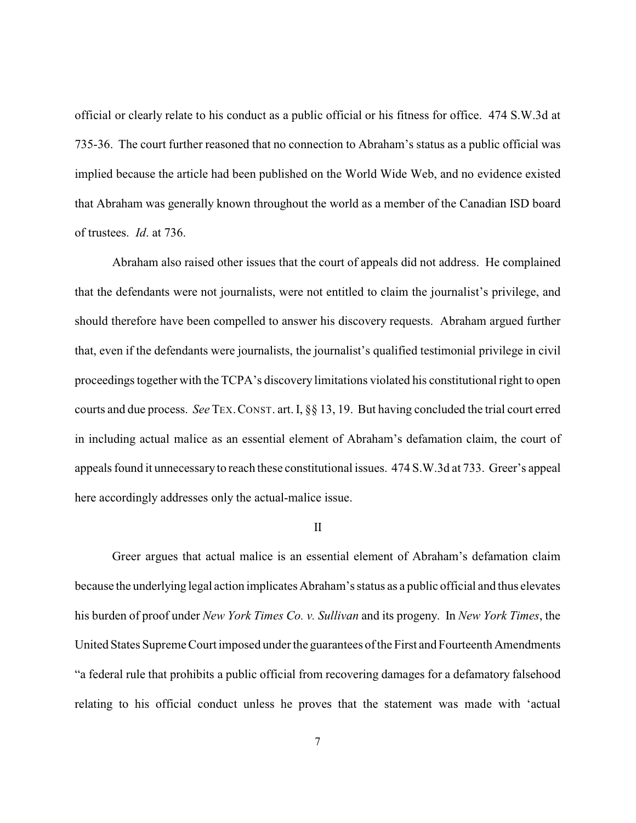official or clearly relate to his conduct as a public official or his fitness for office. 474 S.W.3d at 735-36. The court further reasoned that no connection to Abraham's status as a public official was implied because the article had been published on the World Wide Web, and no evidence existed that Abraham was generally known throughout the world as a member of the Canadian ISD board of trustees. *Id*. at 736.

Abraham also raised other issues that the court of appeals did not address. He complained that the defendants were not journalists, were not entitled to claim the journalist's privilege, and should therefore have been compelled to answer his discovery requests. Abraham argued further that, even if the defendants were journalists, the journalist's qualified testimonial privilege in civil proceedings together with the TCPA's discovery limitations violated his constitutional right to open courts and due process. *See* TEX.CONST. art. I, §§ 13, 19. But having concluded the trial court erred in including actual malice as an essential element of Abraham's defamation claim, the court of appeals found it unnecessary to reach these constitutional issues. 474 S.W.3d at 733. Greer's appeal here accordingly addresses only the actual-malice issue.

## II

Greer argues that actual malice is an essential element of Abraham's defamation claim because the underlying legal action implicates Abraham's status as a public official and thus elevates his burden of proof under *New York Times Co. v. Sullivan* and its progeny. In *New York Times*, the United States Supreme Court imposed under the guarantees of the First and Fourteenth Amendments "a federal rule that prohibits a public official from recovering damages for a defamatory falsehood relating to his official conduct unless he proves that the statement was made with 'actual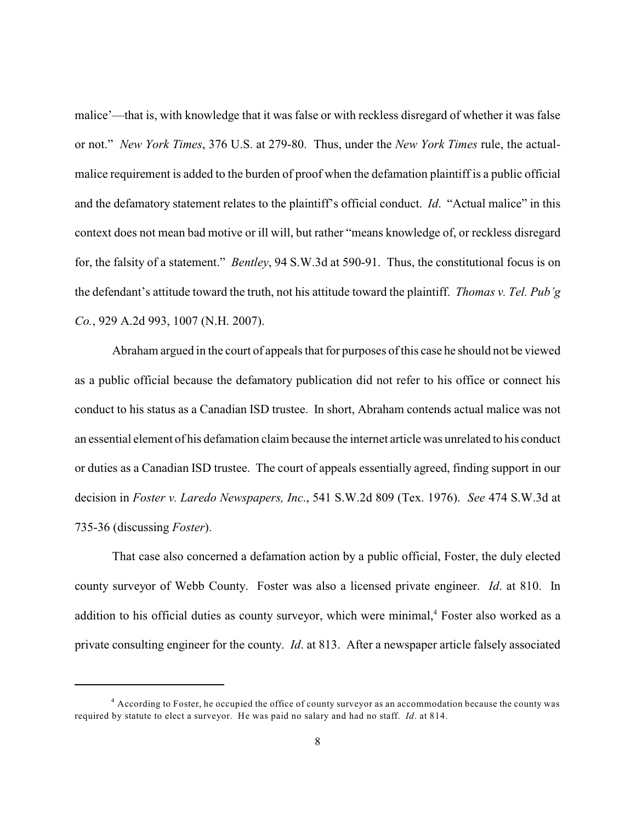malice'—that is, with knowledge that it was false or with reckless disregard of whether it was false or not." *New York Times*, 376 U.S. at 279-80. Thus, under the *New York Times* rule, the actualmalice requirement is added to the burden of proof when the defamation plaintiff is a public official and the defamatory statement relates to the plaintiff's official conduct. *Id*. "Actual malice" in this context does not mean bad motive or ill will, but rather "means knowledge of, or reckless disregard for, the falsity of a statement." *Bentley*, 94 S.W.3d at 590-91. Thus, the constitutional focus is on the defendant's attitude toward the truth, not his attitude toward the plaintiff. *Thomas v. Tel. Pub'g Co.*, 929 A.2d 993, 1007 (N.H. 2007).

Abraham argued in the court of appeals that for purposes of this case he should not be viewed as a public official because the defamatory publication did not refer to his office or connect his conduct to his status as a Canadian ISD trustee. In short, Abraham contends actual malice was not an essential element of his defamation claim because the internet article was unrelated to his conduct or duties as a Canadian ISD trustee. The court of appeals essentially agreed, finding support in our decision in *Foster v. Laredo Newspapers, Inc*., 541 S.W.2d 809 (Tex. 1976). *See* 474 S.W.3d at 735-36 (discussing *Foster*).

That case also concerned a defamation action by a public official, Foster, the duly elected county surveyor of Webb County. Foster was also a licensed private engineer. *Id*. at 810. In addition to his official duties as county surveyor, which were minimal,<sup>4</sup> Foster also worked as a private consulting engineer for the county. *Id*. at 813. After a newspaper article falsely associated

<sup>&</sup>lt;sup>4</sup> According to Foster, he occupied the office of county surveyor as an accommodation because the county was required by statute to elect a surveyor. He was paid no salary and had no staff. *Id*. at 814.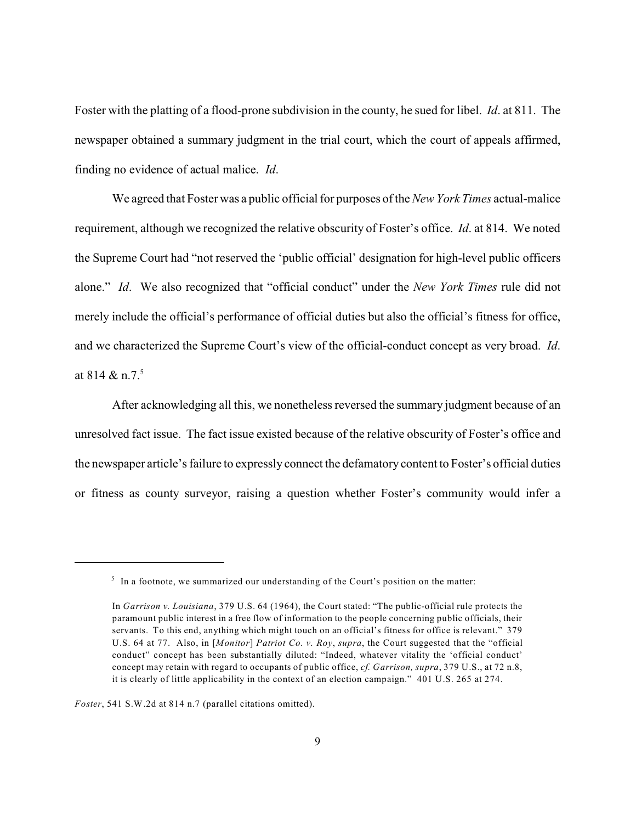Foster with the platting of a flood-prone subdivision in the county, he sued for libel. *Id*. at 811. The newspaper obtained a summary judgment in the trial court, which the court of appeals affirmed, finding no evidence of actual malice. *Id*.

We agreed that Foster was a public official for purposes of the *New York Times* actual-malice requirement, although we recognized the relative obscurity of Foster's office. *Id*. at 814. We noted the Supreme Court had "not reserved the 'public official' designation for high-level public officers alone." *Id*. We also recognized that "official conduct" under the *New York Times* rule did not merely include the official's performance of official duties but also the official's fitness for office, and we characterized the Supreme Court's view of the official-conduct concept as very broad. *Id*. at 814  $\&$  n.7.<sup>5</sup>

After acknowledging all this, we nonetheless reversed the summary judgment because of an unresolved fact issue. The fact issue existed because of the relative obscurity of Foster's office and the newspaper article's failure to expressly connect the defamatory content to Foster's official duties or fitness as county surveyor, raising a question whether Foster's community would infer a

*Foster*, 541 S.W.2d at 814 n.7 (parallel citations omitted).

 $5$  In a footnote, we summarized our understanding of the Court's position on the matter:

In *Garrison v. Louisiana*, 379 U.S. 64 (1964), the Court stated: "The public-official rule protects the paramount public interest in a free flow of information to the people concerning public officials, their servants. To this end, anything which might touch on an official's fitness for office is relevant." 379 U.S. 64 at 77. Also, in [*Monitor*] *Patriot Co. v. Roy*, *supra*, the Court suggested that the "official conduct" concept has been substantially diluted: "Indeed, whatever vitality the 'official conduct' concept may retain with regard to occupants of public office, *cf. Garrison, supra*, 379 U.S., at 72 n.8, it is clearly of little applicability in the context of an election campaign." 401 U.S. 265 at 274.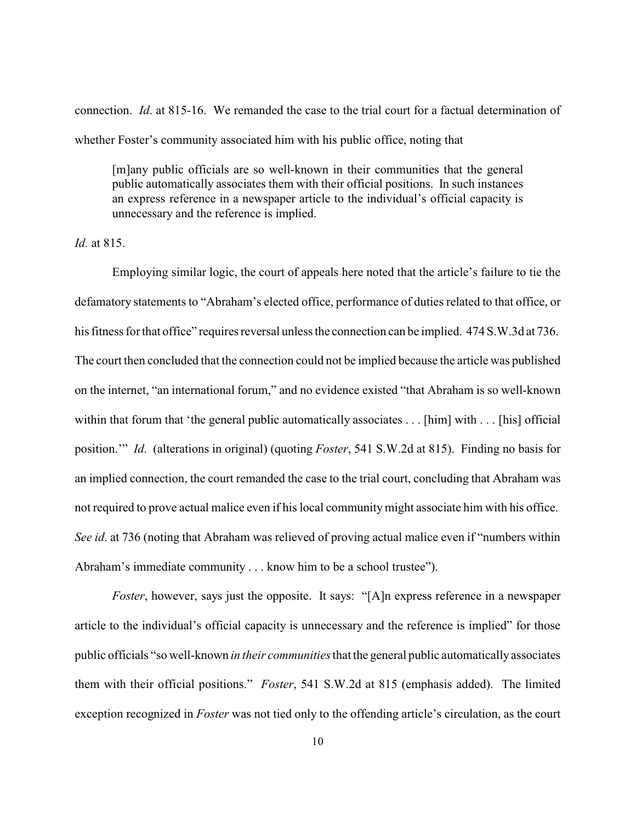connection. *Id*. at 815-16. We remanded the case to the trial court for a factual determination of whether Foster's community associated him with his public office, noting that

[m]any public officials are so well-known in their communities that the general public automatically associates them with their official positions. In such instances an express reference in a newspaper article to the individual's official capacity is unnecessary and the reference is implied.

*Id.* at 815.

Employing similar logic, the court of appeals here noted that the article's failure to tie the defamatory statements to "Abraham's elected office, performance of duties related to that office, or his fitness for that office" requires reversal unless the connection can be implied. 474 S.W.3d at 736. The court then concluded that the connection could not be implied because the article was published on the internet, "an international forum," and no evidence existed "that Abraham is so well-known within that forum that 'the general public automatically associates . . . [him] with . . . [his] official position.'" *Id*. (alterations in original) (quoting *Foster*, 541 S.W.2d at 815). Finding no basis for an implied connection, the court remanded the case to the trial court, concluding that Abraham was not required to prove actual malice even if his local community might associate him with his office. *See id*. at 736 (noting that Abraham was relieved of proving actual malice even if "numbers within Abraham's immediate community . . . know him to be a school trustee").

*Foster*, however, says just the opposite. It says: "[A]n express reference in a newspaper article to the individual's official capacity is unnecessary and the reference is implied" for those public officials "so well-known *in their communities* that the general public automatically associates them with their official positions." *Foster*, 541 S.W.2d at 815 (emphasis added). The limited exception recognized in *Foster* was not tied only to the offending article's circulation, as the court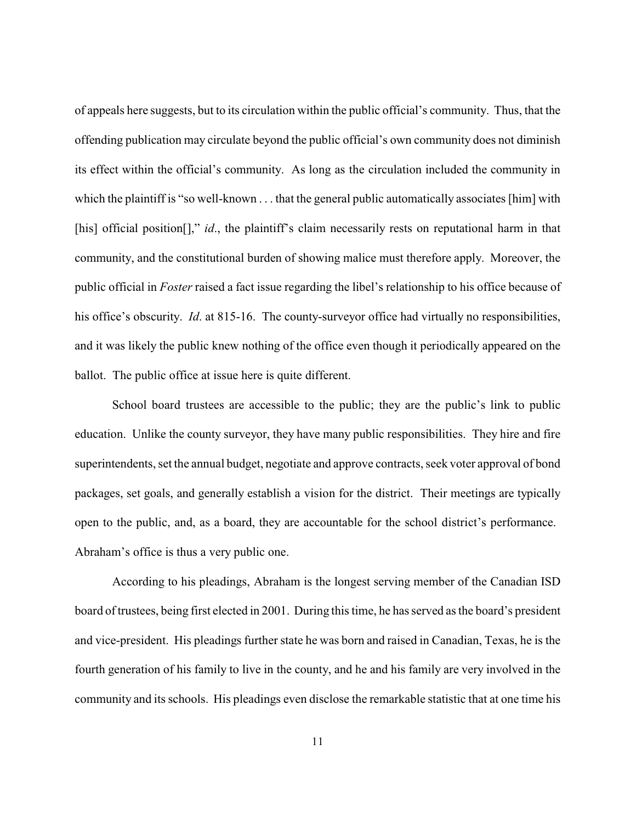of appeals here suggests, but to its circulation within the public official's community. Thus, that the offending publication may circulate beyond the public official's own community does not diminish its effect within the official's community. As long as the circulation included the community in which the plaintiff is "so well-known . . . that the general public automatically associates [him] with [his] official position<sup>[]</sup>," *id*., the plaintiff's claim necessarily rests on reputational harm in that community, and the constitutional burden of showing malice must therefore apply. Moreover, the public official in *Foster* raised a fact issue regarding the libel's relationship to his office because of his office's obscurity. *Id*. at 815-16. The county-surveyor office had virtually no responsibilities, and it was likely the public knew nothing of the office even though it periodically appeared on the ballot. The public office at issue here is quite different.

School board trustees are accessible to the public; they are the public's link to public education. Unlike the county surveyor, they have many public responsibilities. They hire and fire superintendents, set the annual budget, negotiate and approve contracts, seek voter approval of bond packages, set goals, and generally establish a vision for the district. Their meetings are typically open to the public, and, as a board, they are accountable for the school district's performance. Abraham's office is thus a very public one.

According to his pleadings, Abraham is the longest serving member of the Canadian ISD board of trustees, being first elected in 2001. During this time, he has served as the board's president and vice-president. His pleadings further state he was born and raised in Canadian, Texas, he is the fourth generation of his family to live in the county, and he and his family are very involved in the community and its schools. His pleadings even disclose the remarkable statistic that at one time his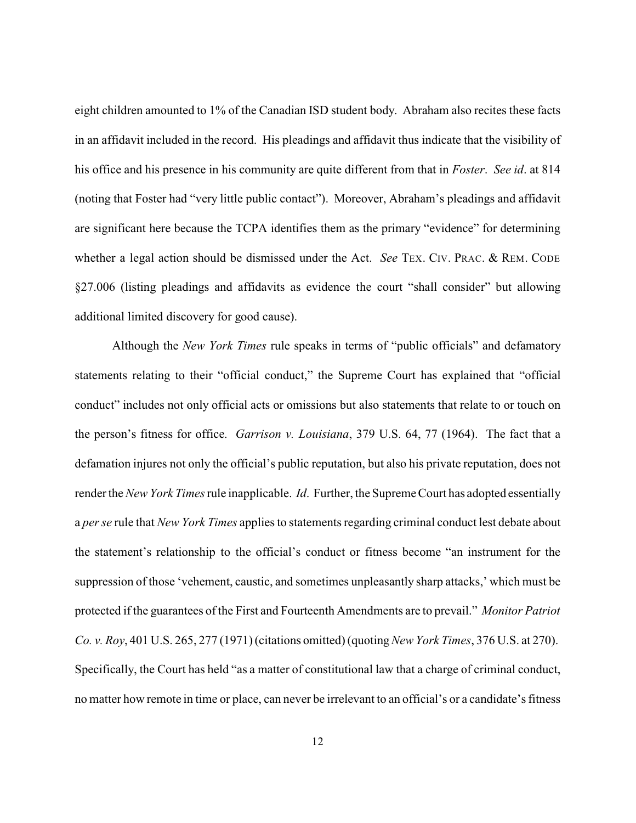eight children amounted to 1% of the Canadian ISD student body. Abraham also recites these facts in an affidavit included in the record. His pleadings and affidavit thus indicate that the visibility of his office and his presence in his community are quite different from that in *Foster*. *See id*. at 814 (noting that Foster had "very little public contact"). Moreover, Abraham's pleadings and affidavit are significant here because the TCPA identifies them as the primary "evidence" for determining whether a legal action should be dismissed under the Act. *See* TEX. CIV. PRAC. & REM. CODE §27.006 (listing pleadings and affidavits as evidence the court "shall consider" but allowing additional limited discovery for good cause).

Although the *New York Times* rule speaks in terms of "public officials" and defamatory statements relating to their "official conduct," the Supreme Court has explained that "official conduct" includes not only official acts or omissions but also statements that relate to or touch on the person's fitness for office. *Garrison v. Louisiana*, 379 U.S. 64, 77 (1964). The fact that a defamation injures not only the official's public reputation, but also his private reputation, does not render the *New York Times*rule inapplicable. *Id*. Further, the Supreme Court has adopted essentially a *per se* rule that *New York Times* applies to statements regarding criminal conduct lest debate about the statement's relationship to the official's conduct or fitness become "an instrument for the suppression of those 'vehement, caustic, and sometimes unpleasantly sharp attacks,' which must be protected if the guarantees of the First and Fourteenth Amendments are to prevail." *Monitor Patriot Co. v. Roy*, 401 U.S. 265, 277 (1971) (citations omitted) (quoting*New York Times*, 376 U.S. at 270). Specifically, the Court has held "as a matter of constitutional law that a charge of criminal conduct, no matter how remote in time or place, can never be irrelevant to an official's or a candidate's fitness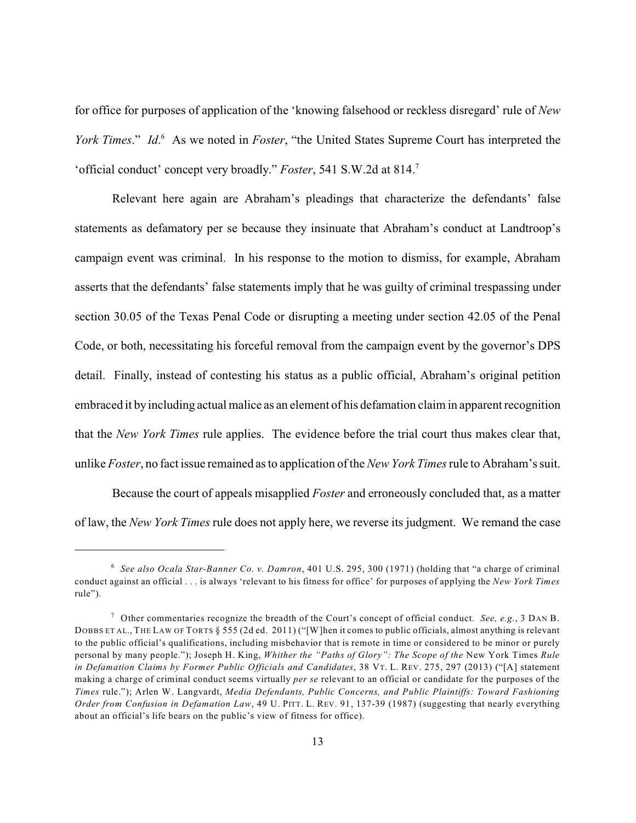for office for purposes of application of the 'knowing falsehood or reckless disregard' rule of *New York Times.*" *Id.* As we noted in *Foster*, "the United States Supreme Court has interpreted the 'official conduct' concept very broadly." *Foster*, 541 S.W.2d at 814.<sup>7</sup>

Relevant here again are Abraham's pleadings that characterize the defendants' false statements as defamatory per se because they insinuate that Abraham's conduct at Landtroop's campaign event was criminal. In his response to the motion to dismiss, for example, Abraham asserts that the defendants' false statements imply that he was guilty of criminal trespassing under section 30.05 of the Texas Penal Code or disrupting a meeting under section 42.05 of the Penal Code, or both, necessitating his forceful removal from the campaign event by the governor's DPS detail. Finally, instead of contesting his status as a public official, Abraham's original petition embraced it by including actual malice as an element of his defamation claim in apparent recognition that the *New York Times* rule applies. The evidence before the trial court thus makes clear that, unlike *Foster*, no fact issue remained as to application of the *New York Times*rule to Abraham's suit.

Because the court of appeals misapplied *Foster* and erroneously concluded that, as a matter of law, the *New York Times* rule does not apply here, we reverse its judgment. We remand the case

*See also Ocala Star-Banner Co. v. Damron*, 401 U.S. 295, 300 (1971) (holding that "a charge of criminal 6 conduct against an official . . . is always 'relevant to his fitness for office' for purposes of applying the *New York Times* rule").

 $^7$  Other commentaries recognize the breadth of the Court's concept of official conduct. *See, e.g.*, 3 DAN B. DOBBS ET AL., THE LAW OF TORTS § 555 (2d ed. 2011) ("[W]hen it comes to public officials, almost anything is relevant to the public official's qualifications, including misbehavior that is remote in time or considered to be minor or purely personal by many people."); Joseph H. King, *Whither the "Paths of Glory": The Scope of the* New York Times *Rule in Defamation Claims by Former Public Officials and Candidates*, 38 VT. L. REV. 275, 297 (2013) ("[A] statement making a charge of criminal conduct seems virtually *per se* relevant to an official or candidate for the purposes of the *Times* rule."); Arlen W. Langvardt, *Media Defendants, Public Concerns, and Public Plaintiffs: Toward Fashioning Order from Confusion in Defamation Law*, 49 U. PITT. L. REV. 91, 137-39 (1987) (suggesting that nearly everything about an official's life bears on the public's view of fitness for office).